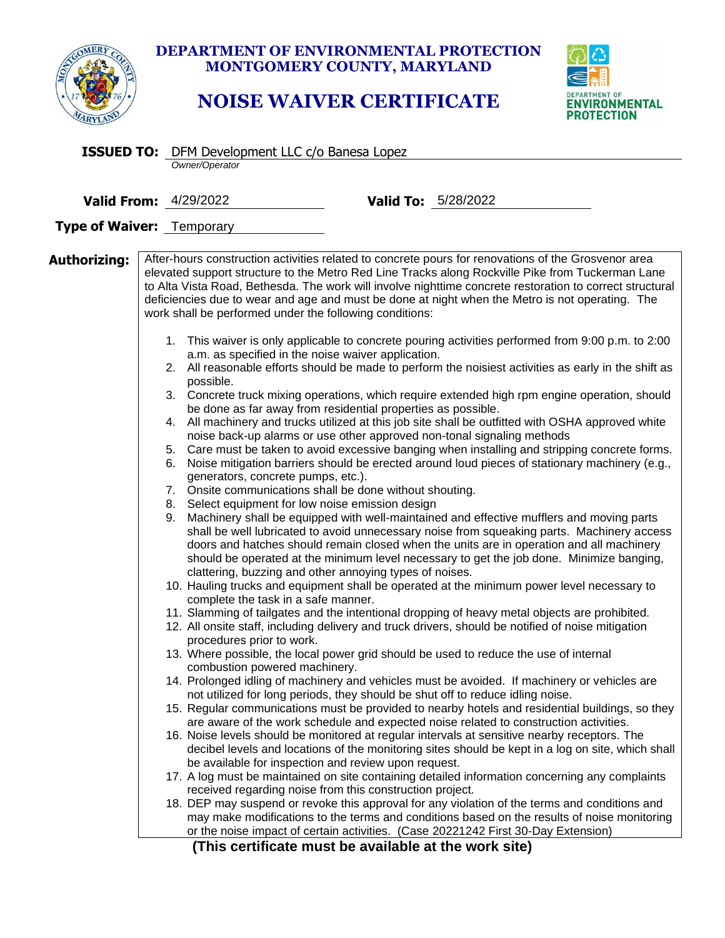

## **DEPARTMENT OF ENVIRONMENTAL PROTECTION MONTGOMERY COUNTY, MARYLAND**

## **NOISE WAIVER CERTIFICATE**



|                              |  | <b>ISSUED TO:</b> DFM Development LLC c/o Banesa Lopez                                                                                                                                                                                                                                                                                                                                                                                               |                                                                                                                                                                                                                                                                                                                                                                                                                                                                                                                                                                                                                                                                                                                                                                                                                                                                                                                                                                                                                                                                                                                                                                                                                                                                                                                                                                                                                                                                                                                                                                                                                                                                                                                                                                                                                                                                                                                                                                                                                                                                                                                                                                                                                                                                                                                                                                                                                                                                                                                                                                                                                                                                                                                                                                                                                                                                                                                                                                                                                                                                            |  |  |  |
|------------------------------|--|------------------------------------------------------------------------------------------------------------------------------------------------------------------------------------------------------------------------------------------------------------------------------------------------------------------------------------------------------------------------------------------------------------------------------------------------------|----------------------------------------------------------------------------------------------------------------------------------------------------------------------------------------------------------------------------------------------------------------------------------------------------------------------------------------------------------------------------------------------------------------------------------------------------------------------------------------------------------------------------------------------------------------------------------------------------------------------------------------------------------------------------------------------------------------------------------------------------------------------------------------------------------------------------------------------------------------------------------------------------------------------------------------------------------------------------------------------------------------------------------------------------------------------------------------------------------------------------------------------------------------------------------------------------------------------------------------------------------------------------------------------------------------------------------------------------------------------------------------------------------------------------------------------------------------------------------------------------------------------------------------------------------------------------------------------------------------------------------------------------------------------------------------------------------------------------------------------------------------------------------------------------------------------------------------------------------------------------------------------------------------------------------------------------------------------------------------------------------------------------------------------------------------------------------------------------------------------------------------------------------------------------------------------------------------------------------------------------------------------------------------------------------------------------------------------------------------------------------------------------------------------------------------------------------------------------------------------------------------------------------------------------------------------------------------------------------------------------------------------------------------------------------------------------------------------------------------------------------------------------------------------------------------------------------------------------------------------------------------------------------------------------------------------------------------------------------------------------------------------------------------------------------------------------|--|--|--|
|                              |  | Owner/Operator                                                                                                                                                                                                                                                                                                                                                                                                                                       |                                                                                                                                                                                                                                                                                                                                                                                                                                                                                                                                                                                                                                                                                                                                                                                                                                                                                                                                                                                                                                                                                                                                                                                                                                                                                                                                                                                                                                                                                                                                                                                                                                                                                                                                                                                                                                                                                                                                                                                                                                                                                                                                                                                                                                                                                                                                                                                                                                                                                                                                                                                                                                                                                                                                                                                                                                                                                                                                                                                                                                                                            |  |  |  |
| <b>Valid From: 4/29/2022</b> |  |                                                                                                                                                                                                                                                                                                                                                                                                                                                      | <b>Valid To:</b> 5/28/2022                                                                                                                                                                                                                                                                                                                                                                                                                                                                                                                                                                                                                                                                                                                                                                                                                                                                                                                                                                                                                                                                                                                                                                                                                                                                                                                                                                                                                                                                                                                                                                                                                                                                                                                                                                                                                                                                                                                                                                                                                                                                                                                                                                                                                                                                                                                                                                                                                                                                                                                                                                                                                                                                                                                                                                                                                                                                                                                                                                                                                                                 |  |  |  |
| Type of Waiver: Temporary    |  |                                                                                                                                                                                                                                                                                                                                                                                                                                                      |                                                                                                                                                                                                                                                                                                                                                                                                                                                                                                                                                                                                                                                                                                                                                                                                                                                                                                                                                                                                                                                                                                                                                                                                                                                                                                                                                                                                                                                                                                                                                                                                                                                                                                                                                                                                                                                                                                                                                                                                                                                                                                                                                                                                                                                                                                                                                                                                                                                                                                                                                                                                                                                                                                                                                                                                                                                                                                                                                                                                                                                                            |  |  |  |
|                              |  |                                                                                                                                                                                                                                                                                                                                                                                                                                                      |                                                                                                                                                                                                                                                                                                                                                                                                                                                                                                                                                                                                                                                                                                                                                                                                                                                                                                                                                                                                                                                                                                                                                                                                                                                                                                                                                                                                                                                                                                                                                                                                                                                                                                                                                                                                                                                                                                                                                                                                                                                                                                                                                                                                                                                                                                                                                                                                                                                                                                                                                                                                                                                                                                                                                                                                                                                                                                                                                                                                                                                                            |  |  |  |
| Authorizing:                 |  | work shall be performed under the following conditions:<br>a.m. as specified in the noise waiver application.<br>possible.<br>generators, concrete pumps, etc.).<br>7. Onsite communications shall be done without shouting.<br>8. Select equipment for low noise emission design<br>9.<br>complete the task in a safe manner.<br>procedures prior to work.<br>combustion powered machinery.<br>be available for inspection and review upon request. | After-hours construction activities related to concrete pours for renovations of the Grosvenor area<br>elevated support structure to the Metro Red Line Tracks along Rockville Pike from Tuckerman Lane<br>to Alta Vista Road, Bethesda. The work will involve nighttime concrete restoration to correct structural<br>deficiencies due to wear and age and must be done at night when the Metro is not operating. The<br>1. This waiver is only applicable to concrete pouring activities performed from 9:00 p.m. to 2:00<br>2. All reasonable efforts should be made to perform the noisiest activities as early in the shift as<br>3. Concrete truck mixing operations, which require extended high rpm engine operation, should<br>be done as far away from residential properties as possible.<br>4. All machinery and trucks utilized at this job site shall be outfitted with OSHA approved white<br>noise back-up alarms or use other approved non-tonal signaling methods<br>5. Care must be taken to avoid excessive banging when installing and stripping concrete forms.<br>6. Noise mitigation barriers should be erected around loud pieces of stationary machinery (e.g.,<br>Machinery shall be equipped with well-maintained and effective mufflers and moving parts<br>shall be well lubricated to avoid unnecessary noise from squeaking parts. Machinery access<br>doors and hatches should remain closed when the units are in operation and all machinery<br>should be operated at the minimum level necessary to get the job done. Minimize banging,<br>clattering, buzzing and other annoying types of noises.<br>10. Hauling trucks and equipment shall be operated at the minimum power level necessary to<br>11. Slamming of tailgates and the intentional dropping of heavy metal objects are prohibited.<br>12. All onsite staff, including delivery and truck drivers, should be notified of noise mitigation<br>13. Where possible, the local power grid should be used to reduce the use of internal<br>14. Prolonged idling of machinery and vehicles must be avoided. If machinery or vehicles are<br>not utilized for long periods, they should be shut off to reduce idling noise.<br>15. Regular communications must be provided to nearby hotels and residential buildings, so they<br>are aware of the work schedule and expected noise related to construction activities.<br>16. Noise levels should be monitored at regular intervals at sensitive nearby receptors. The<br>decibel levels and locations of the monitoring sites should be kept in a log on site, which shall<br>17. A log must be maintained on site containing detailed information concerning any complaints<br>received regarding noise from this construction project.<br>18. DEP may suspend or revoke this approval for any violation of the terms and conditions and<br>may make modifications to the terms and conditions based on the results of noise monitoring<br>or the noise impact of certain activities. (Case 20221242 First 30-Day Extension) |  |  |  |

**(This certificate must be available at the work site)**